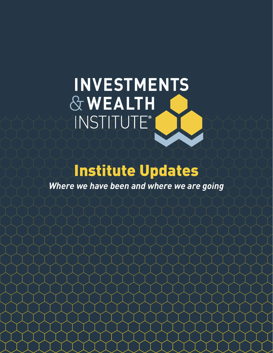# INVESTMENTS & WEALTH INSTITUTE®

## Institute Updates

*Where we have been and where we are going*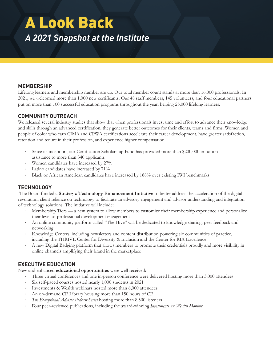### A Look Back *A 2021 Snapshot at the Institute*

#### **MEMBERSHIP**

Lifelong learners and membership number are up. Our total member count stands at more than 16,000 professionals. In 2021, we welcomed more than 1,000 new certificants. Our 48 staff members, 145 volunteers, and four educational partners put on more than 100 successful education programs throughout the year, helping 25,000 lifelong learners.

#### **COMMUNITY OUTREACH**

We released several industry studies that show that when professionals invest time and effort to advance their knowledge and skills through an advanced certification, they generate better outcomes for their clients, teams and firms. Women and people of color who earn CIMA and CPWA certifications accelerate their career development, have greater satisfaction, retention and tenure in their profession, and experience higher compensation.

- Since its inception, our Certification Scholarship Fund has provided more than \$200,000 in tuition assistance to more than 340 applicants
- Women candidates have increased by 27%
- Latino candidates have increased by 71%
- Black or African American candidates have increased by 188% over existing IWI benchmarks

#### **TECHNOLOGY**

 The Board funded a **Strategic Technology Enhancement Initiative** to better address the acceleration of the digital revolution, client reliance on technology to facilitate an advisory engagement and advisor understanding and integration of technology solutions. The initiative will include:

- Membership Tiers a new system to allow members to customize their membership experience and personalize their level of professional development engagement
- An online community platform called "The Hive" will be dedicated to knowledge sharing, peer feedback and networking
- Knowledge Centers, including newsletters and content distribution powering six communities of practice, including the THRIVE Center for Diversity & Inclusion and the Center for RIA Excellence
- A new Digital Badging platform that allows members to promote their credentials proudly and more visibility in online channels amplifying their brand in the marketplace

#### **EXECUTIVE EDUCATION**

New and enhanced **educational opportunities** were well received:

- Three virtual conferences and one in-person conference were delivered hosting more than 3,000 attendees
- Six self-paced courses hosted nearly 1,000 students in 2021
- Investments & Wealth webinars hosted more than 6,000 attendees
- An on-demand CE Library housing more than 150 hours of CE
- *The Exceptional Advisor Podcast Series* hosting more than 8,500 listeners
- Four peer-reviewed publications, including the award-winning *Investments & Wealth Monitor*